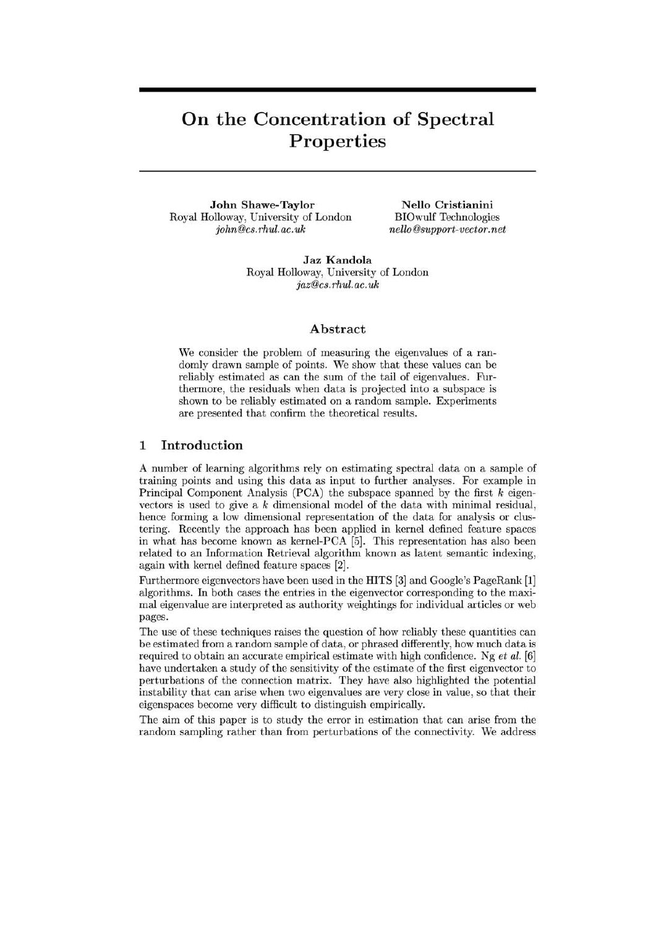# **On the Concentration of Spectral Properties**

**John Shawe-Taylor**  Royal Holloway, University of London *john@cs.rhul.ac.uk* 

**N ella Cristianini**  BIOwulf Technologies *nello@support-vector. net* 

**Jaz Kandola**  Royal Holloway, University of London *jaz@cs.rhul.ac.uk* 

#### **Abstract**

We consider the problem of measuring the eigenvalues of a randomly drawn sample of points. We show that these values can be reliably estimated as can the sum of the tail of eigenvalues. Furthermore, the residuals when data is projected into a subspace is shown to be reliably estimated on a random sample. Experiments are presented that confirm the theoretical results.

### **1 Introduction**

A number of learning algorithms rely on estimating spectral data on a sample of training points and using this data as input to further analyses. For example in Principal Component Analysis (PCA) the subspace spanned by the first *k* eigenvectors is used to give a *k* dimensional model of the data with minimal residual, hence forming a low dimensional representation of the data for analysis or clustering. Recently the approach has been applied in kernel defined feature spaces in what has become known as kernel-PCA [5]. This representation has also been related to an Information Retrieval algorithm known as latent semantic indexing, again with kernel defined feature spaces [2].

Furthermore eigenvectors have been used in the HITS [3] and Google's PageRank [1] algorithms. **In** both cases the entries in the eigenvector corresponding to the maximal eigenvalue are interpreted as authority weightings for individual articles or web pages.

The use of these techniques raises the question of how reliably these quantities can be estimated from a random sample of data, or phrased differently, how much data is required to obtain an accurate empirical estimate with high confidence. Ng et *al. [6]*  have undertaken a study of the sensitivity of the estimate of the first eigenvector to perturbations of the connection matrix. They have also highlighted the potential instability that can arise when two eigenvalues are very close in value, so that their eigenspaces become very difficult to distinguish empirically.

The aim of this paper is to study the error in estimation that can arise from the random sampling rather than from perturbations of the connectivity. We address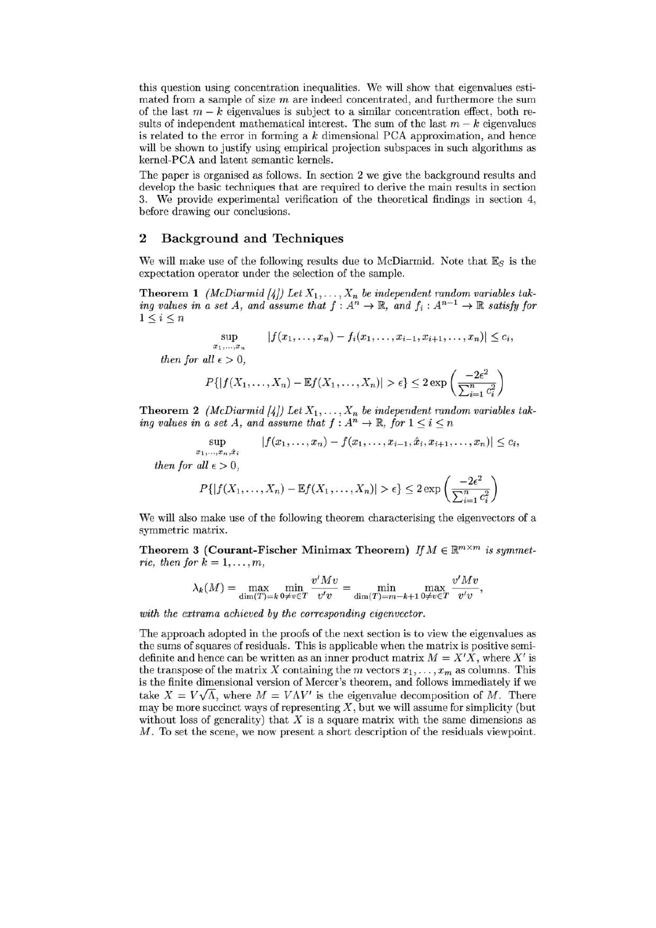this question using concentration inequalities. We will show that eigenvalues estimated from a sample of size  $m$  are indeed concentrated, and furthermore the sum of the last  $m - k$  eigenvalues is subject to a similar concentration effect, both results of independent mathematical interest. The sum of the last  $m - k$  eigenvalues is related to the error in forming a *k* dimensional PCA approximation, and hence will be shown to justify using empirical projection subspaces in such algorithms as kernel-PCA and latent semantic kernels.

The paper is organised as follows. **In** section 2 we give the background results and develop the basic techniques that are required to derive the main results in section 3. We provide experimental verification of the theoretical findings in section 4, before drawing our conclusions.

#### **2 Background and Techniques**

We will make use of the following results due to McDiarmid. Note that  $\mathbb{E}_S$  is the expectation operator under the selection of the sample.

**Theorem 1** *(McDiarmid [4])* Let  $X_1, \ldots, X_n$  be independent random variables tak*ing values in a set A, and assume that*  $f: A^n \to \mathbb{R}$ *, and*  $f_i: A^{n-1} \to \mathbb{R}$  satisfy for  $1\leq i\leq n$ 

$$
\sup_{x_1,\ldots,x_n} |f(x_1,\ldots,x_n)-f_i(x_1,\ldots,x_{i-1},x_{i+1},\ldots,x_n)| \leq c_i,
$$

then for all  $\epsilon > 0$ ,

$$
P\{|f(X_1,\ldots,X_n)-\mathbb{E}f(X_1,\ldots,X_n)|>\epsilon\}\leq 2\exp\left(\frac{-2\epsilon^2}{\sum_{i=1}^n c_i^2}\right)
$$

**Theorem 2** *(McDiarmid [4])* Let  $X_1, \ldots, X_n$  be independent random variables tak*ing values in a set A, and assume that*  $f : A^n \to \mathbb{R}$ , *for*  $1 \leq i \leq n$ 

$$
\sup_{x_1,\ldots,x_n,\hat{x}_i} |f(x_1,\ldots,x_n)-f(x_1,\ldots,x_{i-1},\hat{x}_i,x_{i+1},\ldots,x_n)| \leq c_i,
$$
  
then for all  $\epsilon > 0$ ,

$$
P\{|f(X_1,\ldots,X_n)-\mathbb{E}f(X_1,\ldots,X_n)|>\epsilon\}\leq 2\exp\left(\frac{-2\epsilon^2}{\sum_{i=1}^n c_i^2}\right)
$$

We will also make use of the following theorem characterising the eigenvectors of a symmetric matrix.

**Theorem 3 (Courant-Fischer Minimax Theorem)** *If*  $M \in \mathbb{R}^{m \times m}$  *is symmetric, then for*  $k = 1, \ldots, m$ ,

$$
\lambda_k(M) = \max_{\dim(T)=k} \min_{0 \neq v \in T} \frac{v'Mv}{v'v} = \min_{\dim(T)=m-k+1} \max_{0 \neq v \in T} \frac{v'Mv}{v'v},
$$

*with the extrama achieved by the corresponding eigenvector.* 

The approach adopted in the proofs of the next section is to view the eigenvalues as the sums of squares of residuals. This is applicable when the matrix is positive semidefinite and hence can be written as an inner product matrix  $M = X'X$ , where X' is the transpose of the matrix *X* containing the *m* vectors  $x_1, \ldots, x_m$  as columns. This is the finite dimensional version of Mercer's theorem, and follows immediately if we take  $X = V\sqrt{\Lambda}$ , where  $M = V\Lambda V'$  is the eigenvalue decomposition of M. There may be more succinct ways of representing  $X$ , but we will assume for simplicity (but without loss of generality) that  $X$  is a square matrix with the same dimensions as M. To set the scene, we now present a short description of the residuals viewpoint.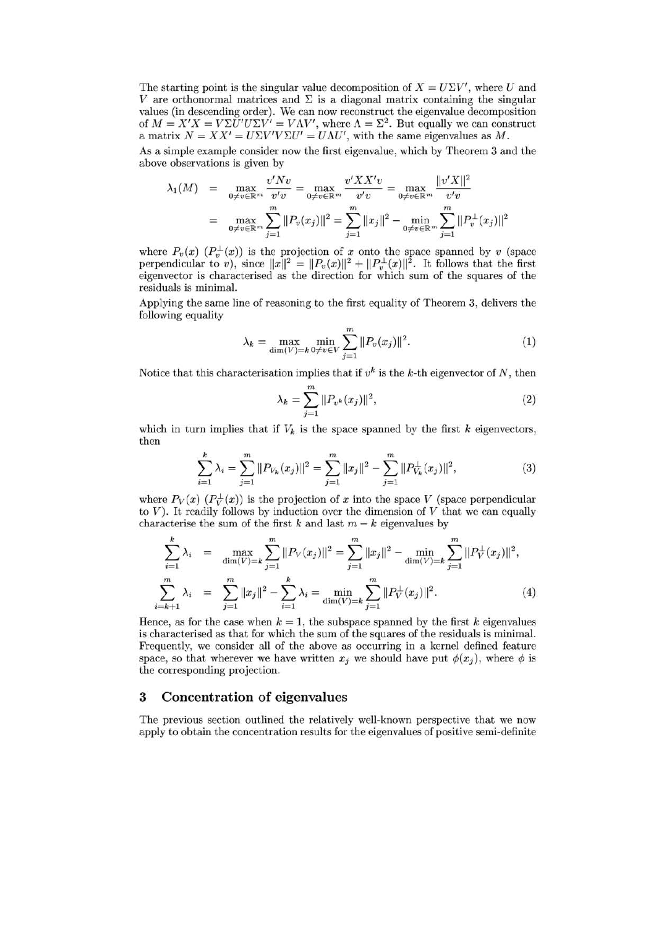The starting point is the singular value decomposition of  $X = U\Sigma V'$ , where U and V are orthonormal matrices and  $\Sigma$  is a diagonal matrix containing the singular values (in descending order). We can now reconstruct the eigenvalue decomposition of  $M = X'X = V\Sigma \check{U}'U\Sigma V' = V\Lambda V'$ , where  $\Lambda = \Sigma^2$ . But equally we can construct a matrix  $N = XX' = U\Sigma V'V\Sigma U' = U\Lambda U'$ , with the same eigenvalues as M.

As a simple example consider now the first eigenvalue, which by Theorem 3 and the above observations is given by

$$
\lambda_1(M) = \max_{0 \neq v \in \mathbb{R}^m} \frac{v' N v}{v' v} = \max_{0 \neq v \in \mathbb{R}^m} \frac{v' X X' v}{v' v} = \max_{0 \neq v \in \mathbb{R}^m} \frac{\|v' X\|^2}{v' v}
$$

$$
= \max_{0 \neq v \in \mathbb{R}^m} \sum_{j=1}^m \|P_v(x_j)\|^2 = \sum_{j=1}^m \|x_j\|^2 - \min_{0 \neq v \in \mathbb{R}^m} \sum_{j=1}^m \|P_v(x_j)\|^2
$$

where  $P_v(x)$   $(P_v^{\perp}(x))$  is the projection of *x* onto the space spanned by *v* (space perpendicular to *v*), since  $||x||^2 = ||P_v(x)||^2 + ||P_v^{\perp}(x)||^2$ . It follows that the first eigenvector is characterised as the direction for which sum of the squares of the residuals is minimal.

Applying the same line of reasoning to the first equality of Theorem 3, delivers the following equality

$$
\lambda_k = \max_{\dim(V)=k} \min_{0 \neq v \in V} \sum_{j=1}^m ||P_v(x_j)||^2.
$$
 (1)

Notice that this characterisation implies that if  $v^k$  is the *k*-th eigenvector of *N*, then

$$
\lambda_k = \sum_{j=1}^{m} ||P_{v^k}(x_j)||^2,
$$
\n(2)

which in turn implies that if  $V_k$  is the space spanned by the first  $k$  eigenvectors, then

$$
\sum_{i=1}^{k} \lambda_i = \sum_{j=1}^{m} ||P_{V_k}(x_j)||^2 = \sum_{j=1}^{m} ||x_j||^2 - \sum_{j=1}^{m} ||P_{V_k}^{\perp}(x_j)||^2, \tag{3}
$$

where  $P_V(x)$   $(P_V^{\perp}(x))$  is the projection of x into the space *V* (space perpendicular to  $V$ ). It readily follows by induction over the dimension of  $V$  that we can equally characterise the sum of the first  $k$  and last  $m - k$  eigenvalues by

$$
\sum_{i=1}^{k} \lambda_i = \max_{\dim(V)=k} \sum_{j=1}^{m} ||P_V(x_j)||^2 = \sum_{j=1}^{m} ||x_j||^2 - \min_{\dim(V)=k} \sum_{j=1}^{m} ||P_V^{\perp}(x_j)||^2,
$$
\n
$$
\sum_{i=k+1}^{m} \lambda_i = \sum_{j=1}^{m} ||x_j||^2 - \sum_{i=1}^{k} \lambda_i = \min_{\dim(V)=k} \sum_{j=1}^{m} ||P_V^{\perp}(x_j)||^2.
$$
\n(4)

Hence, as for the case when  $k = 1$ , the subspace spanned by the first *k* eigenvalues is characterised as that for which the sum of the squares of the residuals is minimal. Frequently, we consider all of the above as occurring in a kernel defined feature space, so that wherever we have written  $x_j$  we should have put  $\phi(x_j)$ , where  $\phi$  is the corresponding projection.

### **3 Concentration of eigenvalues**

The previous section outlined the relatively well-known perspective that we now apply to obtain the concentration results for the eigenvalues of positive semi-definite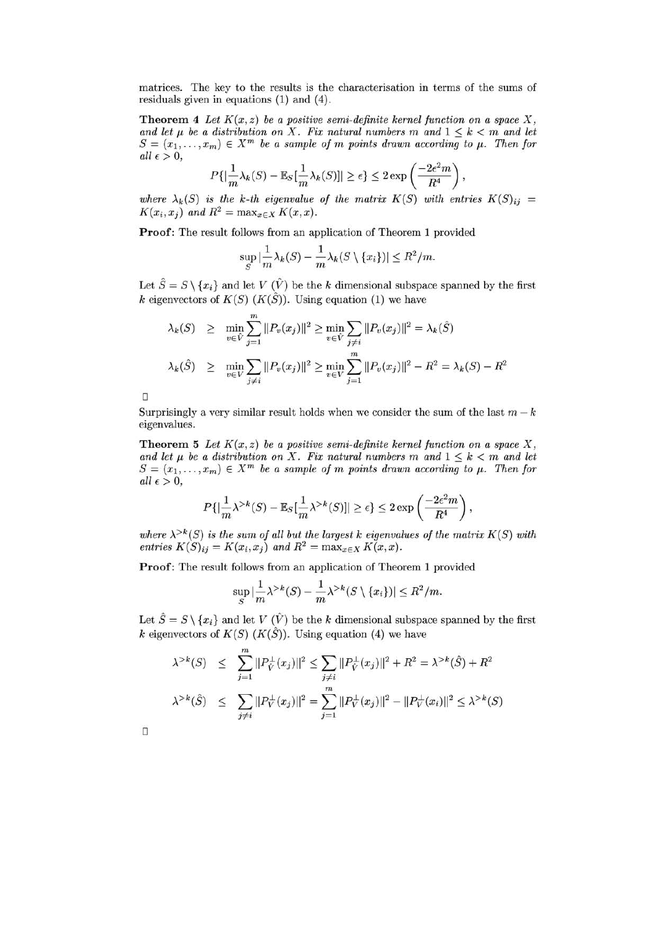matrices. The key to the results is the characterisation in terms of the sums of residuals given in equations (1) and (4).

**Theorem 4** *Let*  $K(x, z)$  *be a positive semi-definite kernel function on a space*  $X$ , and let  $\mu$  be a distribution on X. Fix natural numbers m and  $1 \leq k < m$  and let  $S = (x_1, \ldots, x_m) \in X^m$  be a sample of *m* points drawn according to  $\mu$ . Then for  $all \epsilon > 0,$ 

$$
P\{|\frac{1}{m}\lambda_k(S) - \mathbb{E}_S[\frac{1}{m}\lambda_k(S)]| \ge \epsilon\} \le 2\exp\left(\frac{-2\epsilon^2 m}{R^4}\right),
$$

where  $\lambda_k(S)$  is the k-th eigenvalue of the matrix  $K(S)$  with entries  $K(S)_{ij} =$  $K(x_i, x_j)$  and  $R^2 = \max_{x \in X} K(x, x)$ .

**Proof:** The result follows from an application of Theorem 1 provided

$$
\sup_{S} |\frac{1}{m}\lambda_k(S) - \frac{1}{m}\lambda_k(S \setminus \{x_i\})| \le R^2/m.
$$

Let  $\hat{S} = S \setminus \{x_i\}$  and let *V*  $(\hat{V})$  be the *k* dimensional subspace spanned by the first *k* eigenvectors of  $K(S)$  ( $K(\hat{S})$ ). Using equation (1) we have

$$
\lambda_k(S) \geq \min_{v \in \hat{V}} \sum_{j=1}^m ||P_v(x_j)||^2 \geq \min_{v \in \hat{V}} \sum_{j \neq i} ||P_v(x_j)||^2 = \lambda_k(\hat{S})
$$
  

$$
\lambda_k(\hat{S}) \geq \min_{v \in V} \sum_{j \neq i} ||P_v(x_j)||^2 \geq \min_{v \in V} \sum_{j=1}^m ||P_v(x_j)||^2 - R^2 = \lambda_k(S) - R^2
$$

Surprisingly a very similar result holds when we consider the sum of the last  $m - k$ eigenvalues.

**Theorem 5** *Let*  $K(x, z)$  *be a positive semi-definite kernel function on a space*  $X$ , and let  $\mu$  be a distribution on X. Fix natural numbers m and  $1 \leq k < m$  and let  $S = (x_1, \ldots, x_m) \in X^m$  be a sample of *m* points drawn according to  $\mu$ . Then for  $all \epsilon > 0,$ 

$$
P\{|\frac{1}{m}\lambda^{>k}(S)-\mathbb{E}_S[\frac{1}{m}\lambda^{>k}(S)]|\geq\epsilon\}\leq 2\exp\left(\frac{-2\epsilon^2m}{R^4}\right),
$$

where  $\lambda^{>k}(S)$  is the sum of all but the largest k eigenvalues of the matrix  $K(S)$  with *entries*  $K(S)_{ij} = K(x_i, x_j)$  and  $R^2 = \max_{x \in X} K(x, x)$ .

**Proof:** The result follows from an application of Theorem 1 provided

$$
\sup_{S} |\frac{1}{m}\lambda^{>k}(S) - \frac{1}{m}\lambda^{>k}(S \setminus \{x_i\})| \leq R^2/m.
$$

Let  $\hat{S} = S \setminus \{x_i\}$  and let *V*  $(\hat{V})$  be the *k* dimensional subspace spanned by the first *k* eigenvectors of  $K(S)$  ( $K(\hat{S})$ ). Using equation (4) we have

$$
\lambda^{&}(S) \leq \sum_{j=1}^{m} ||P_{\hat{V}}^{\perp}(x_j)||^2 \leq \sum_{j \neq i} ||P_{\hat{V}}^{\perp}(x_j)||^2 + R^2 = \lambda^{&}(S) + R^2
$$
  

$$
\lambda^{&}(S) \leq \sum_{j \neq i} ||P_{V}^{\perp}(x_j)||^2 = \sum_{j=1}^{m} ||P_{V}^{\perp}(x_j)||^2 - ||P_{V}^{\perp}(x_i)||^2 \leq \lambda^{&}(S)
$$

 $\Box$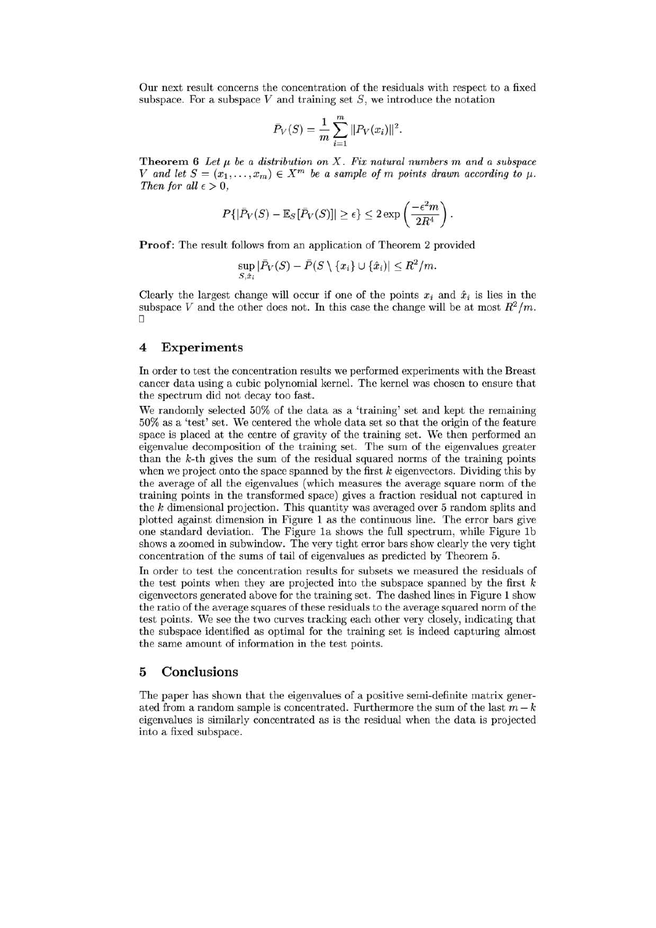Our next result concerns the concentration of the residuals with respect to a fixed subspace. For a subspace *V* and training set *S ,* we introduce the notation

$$
\bar{P}_V(S) = \frac{1}{m} \sum_{i=1}^{m} ||P_V(x_i)||^2.
$$

**Theorem 6** Let  $\mu$  be a distribution on X. Fix natural numbers  $m$  and a subspace *V* and let  $S = (x_1, \ldots, x_m) \in X^m$  be a sample of *m* points drawn according to  $\mu$ . *Then for all*  $\epsilon > 0$ ,

$$
P\{|\bar{P}_V(S) - \mathbb{E}_S[\bar{P}_V(S)]| \ge \epsilon\} \le 2\exp\left(\frac{-\epsilon^2 m}{2R^4}\right).
$$

**Proof:** The result follows from an application of Theorem 2 provided

$$
\sup_{S,\hat{x}_i} |\bar{P}_V(S) - \bar{P}(S \setminus \{x_i\} \cup \{\hat{x}_i\})| \le R^2/m.
$$

Clearly the largest change will occur if one of the points  $x_i$  and  $\hat{x}_i$  is lies in the subspace *V* and the other does not. In this case the change will be at most  $R^2/m$ .  $\Box$ 

#### **4 Experiments**

**In** order to test the concentration results we performed experiments with the Breast cancer data using a cubic polynomial kernel. The kernel was chosen to ensure that the spectrum did not decay too fast.

We randomly selected 50% of the data as a 'training' set and kept the remaining 50% as a 'test' set. We centered the whole data set so that the origin of the feature space is placed at the centre of gravity of the training set. We then performed an eigenvalue decomposition of the training set. The sum of the eigenvalues greater than the *k-th* gives the sum of the residual squared norms of the training points when we project onto the space spanned by the first *k* eigenvectors. Dividing this by the average of all the eigenvalues (which measures the average square norm of the training points in the transformed space) gives a fraction residual not captured in the *k* dimensional projection. This quantity was averaged over 5 random splits and plotted against dimension in Figure 1 as the continuous line. The error bars give one standard deviation. The Figure 1a shows the full spectrum, while Figure 1b shows a zoomed in subwindow. The very tight error bars show clearly the very tight concentration of the sums of tail of eigenvalues as predicted by Theorem 5.

**In** order to test the concentration results for subsets we measured the residuals of the test points when they are projected into the subspace spanned by the first *k*  eigenvectors generated above for the training set. The dashed lines in Figure 1 show the ratio of the average squares of these residuals to the average squared norm of the test points. We see the two curves tracking each other very closely, indicating that the subspace identified as optimal for the training set is indeed capturing almost the same amount of information in the test points.

#### **5 Conclusions**

The paper has shown that the eigenvalues of a positive semi-definite matrix generated from a random sample is concentrated. Furthermore the sum of the last  $m - k$ eigenvalues is similarly concentrated as is the residual when the data is projected into a fixed subspace.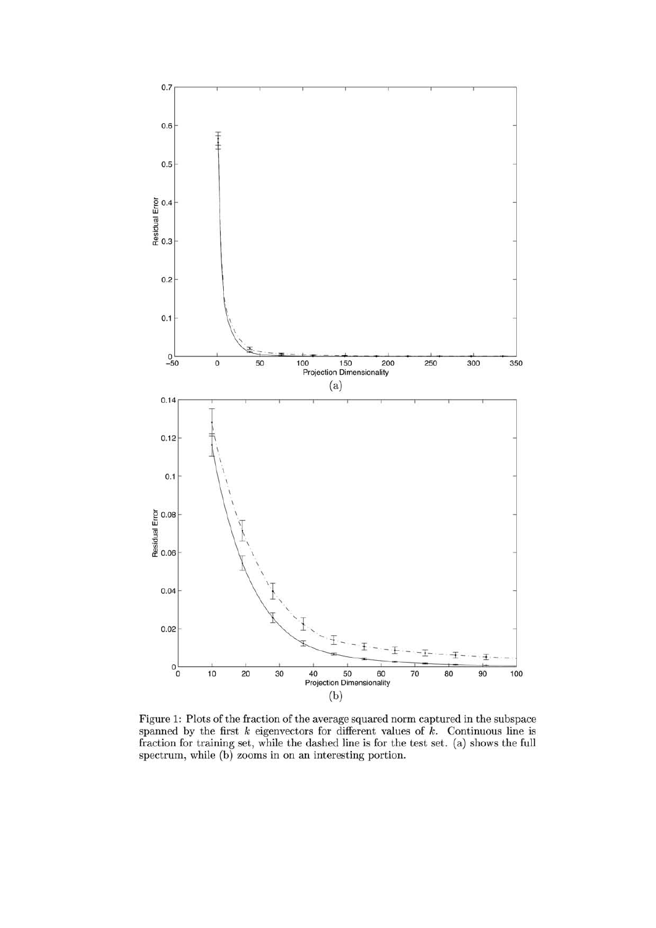

Figure 1: Plots of the fraction of the average squared norm captured in the subspace spanned by the first  $k$  eigenvectors for different values of  $k$ . Continuous line is fraction for training set, while the dashed line is for the test set. (a) shows the full spectrum, while (b) zooms in on an interesting portion.